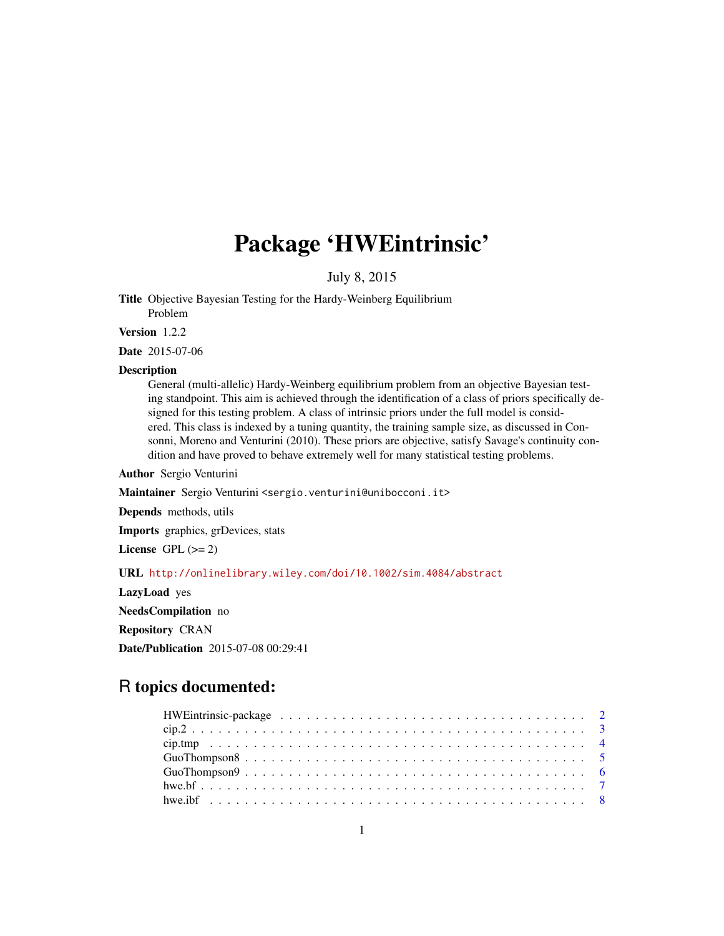## Package 'HWEintrinsic'

July 8, 2015

<span id="page-0-0"></span>Title Objective Bayesian Testing for the Hardy-Weinberg Equilibrium Problem

Version 1.2.2

Date 2015-07-06

## Description

General (multi-allelic) Hardy-Weinberg equilibrium problem from an objective Bayesian testing standpoint. This aim is achieved through the identification of a class of priors specifically designed for this testing problem. A class of intrinsic priors under the full model is considered. This class is indexed by a tuning quantity, the training sample size, as discussed in Consonni, Moreno and Venturini (2010). These priors are objective, satisfy Savage's continuity condition and have proved to behave extremely well for many statistical testing problems.

Author Sergio Venturini

Maintainer Sergio Venturini <sergio.venturini@unibocconi.it>

Depends methods, utils

Imports graphics, grDevices, stats

License GPL  $(>= 2)$ 

URL <http://onlinelibrary.wiley.com/doi/10.1002/sim.4084/abstract>

LazyLoad yes

NeedsCompilation no

Repository CRAN

Date/Publication 2015-07-08 00:29:41

## R topics documented: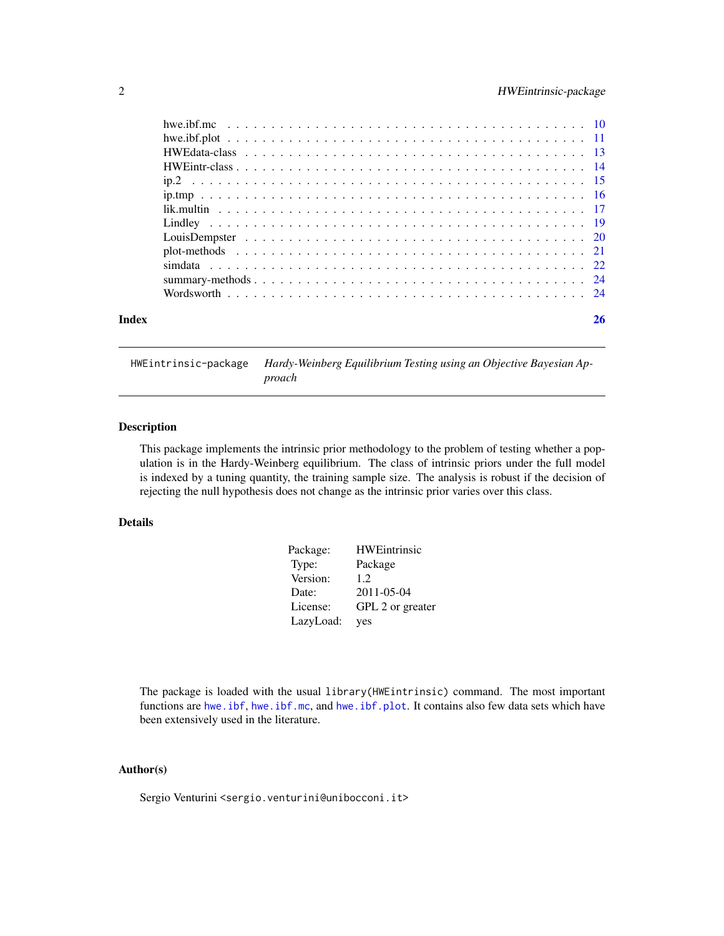<span id="page-1-0"></span>

| Index | 26 |
|-------|----|

HWEintrinsic-package *Hardy-Weinberg Equilibrium Testing using an Objective Bayesian Approach*

## Description

This package implements the intrinsic prior methodology to the problem of testing whether a population is in the Hardy-Weinberg equilibrium. The class of intrinsic priors under the full model is indexed by a tuning quantity, the training sample size. The analysis is robust if the decision of rejecting the null hypothesis does not change as the intrinsic prior varies over this class.

## Details

| Package:  | <b>HWEintrinsic</b> |
|-----------|---------------------|
| Type:     | Package             |
| Version:  | 12                  |
| Date:     | 2011-05-04          |
| License:  | GPL 2 or greater    |
| LazyLoad: | yes                 |

The package is loaded with the usual library(HWEintrinsic) command. The most important functions are [hwe.ibf](#page-7-1), [hwe.ibf.mc](#page-9-1), and [hwe.ibf.plot](#page-10-1). It contains also few data sets which have been extensively used in the literature.

## Author(s)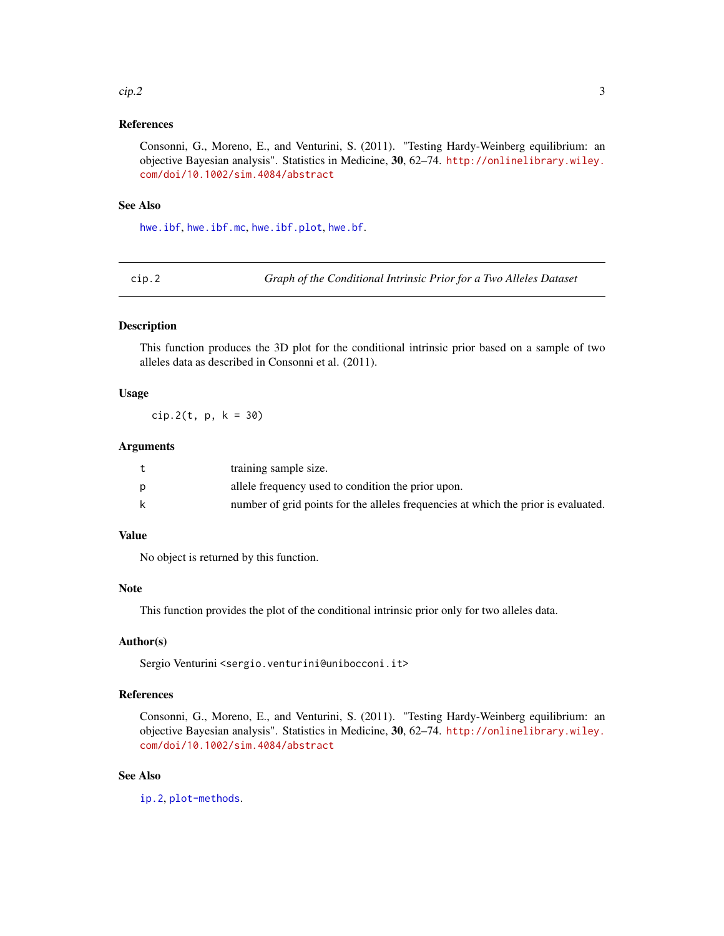#### <span id="page-2-0"></span> $\frac{\text{clip.2}}{3}$

## References

Consonni, G., Moreno, E., and Venturini, S. (2011). "Testing Hardy-Weinberg equilibrium: an objective Bayesian analysis". Statistics in Medicine, 30, 62–74. [http://onlinelibrary.wiley.](http://onlinelibrary.wiley.com/doi/10.1002/sim.4084/abstract) [com/doi/10.1002/sim.4084/abstract](http://onlinelibrary.wiley.com/doi/10.1002/sim.4084/abstract)

#### See Also

[hwe.ibf](#page-7-1), [hwe.ibf.mc](#page-9-1), [hwe.ibf.plot](#page-10-1), [hwe.bf](#page-6-1).

<span id="page-2-1"></span>cip.2 *Graph of the Conditional Intrinsic Prior for a Two Alleles Dataset*

## Description

This function produces the 3D plot for the conditional intrinsic prior based on a sample of two alleles data as described in Consonni et al. (2011).

## Usage

cip.2(t, p, k = 30)

## Arguments

| training sample size.                                                              |
|------------------------------------------------------------------------------------|
| allele frequency used to condition the prior upon.                                 |
| number of grid points for the alleles frequencies at which the prior is evaluated. |

## Value

No object is returned by this function.

## Note

This function provides the plot of the conditional intrinsic prior only for two alleles data.

## Author(s)

Sergio Venturini <sergio.venturini@unibocconi.it>

## References

Consonni, G., Moreno, E., and Venturini, S. (2011). "Testing Hardy-Weinberg equilibrium: an objective Bayesian analysis". Statistics in Medicine, 30, 62–74. [http://onlinelibrary.wiley.](http://onlinelibrary.wiley.com/doi/10.1002/sim.4084/abstract) [com/doi/10.1002/sim.4084/abstract](http://onlinelibrary.wiley.com/doi/10.1002/sim.4084/abstract)

## See Also

[ip.2](#page-14-1), [plot-methods](#page-20-1).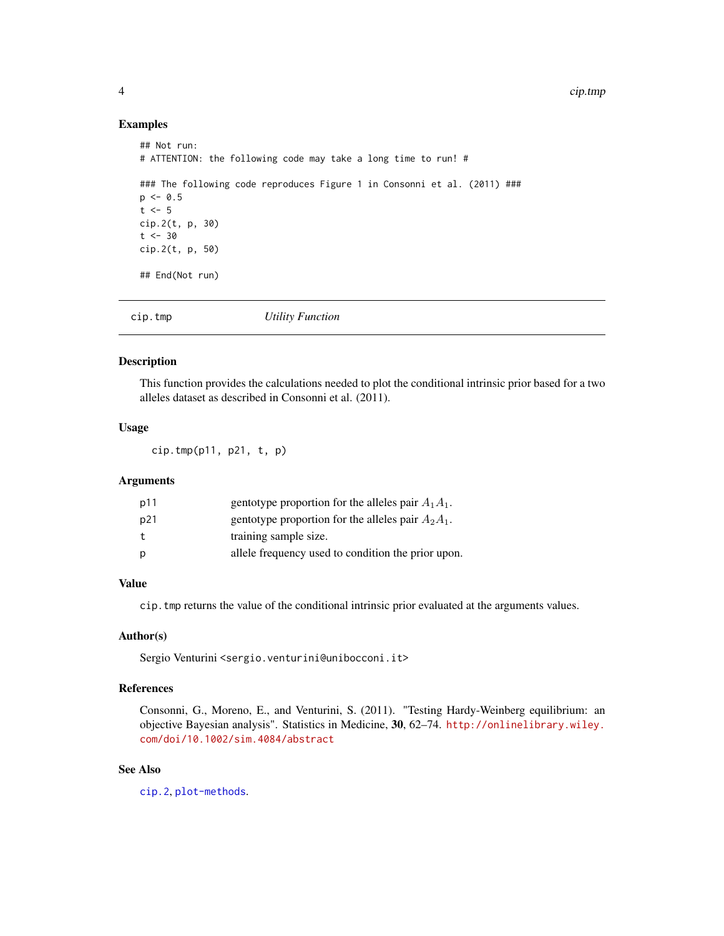## Examples

```
## Not run:
# ATTENTION: the following code may take a long time to run! #
### The following code reproduces Figure 1 in Consonni et al. (2011) ###
p \le -0.5t < -5cip.2(t, p, 30)
t < -30cip.2(t, p, 50)
## End(Not run)
```

| cip.tmp | Utility Function |  |  |
|---------|------------------|--|--|
|---------|------------------|--|--|

## Description

This function provides the calculations needed to plot the conditional intrinsic prior based for a two alleles dataset as described in Consonni et al. (2011).

## Usage

cip.tmp(p11, p21, t, p)

## Arguments

| p11 | gentotype proportion for the alleles pair $A_1A_1$ . |
|-----|------------------------------------------------------|
| p21 | gentotype proportion for the alleles pair $A_2A_1$ . |
| t.  | training sample size.                                |
| D   | allele frequency used to condition the prior upon.   |

## Value

cip.tmp returns the value of the conditional intrinsic prior evaluated at the arguments values.

## Author(s)

Sergio Venturini <sergio.venturini@unibocconi.it>

## References

Consonni, G., Moreno, E., and Venturini, S. (2011). "Testing Hardy-Weinberg equilibrium: an objective Bayesian analysis". Statistics in Medicine, 30, 62–74. [http://onlinelibrary.wiley.](http://onlinelibrary.wiley.com/doi/10.1002/sim.4084/abstract) [com/doi/10.1002/sim.4084/abstract](http://onlinelibrary.wiley.com/doi/10.1002/sim.4084/abstract)

## See Also

[cip.2](#page-2-1), [plot-methods](#page-20-1).

<span id="page-3-0"></span>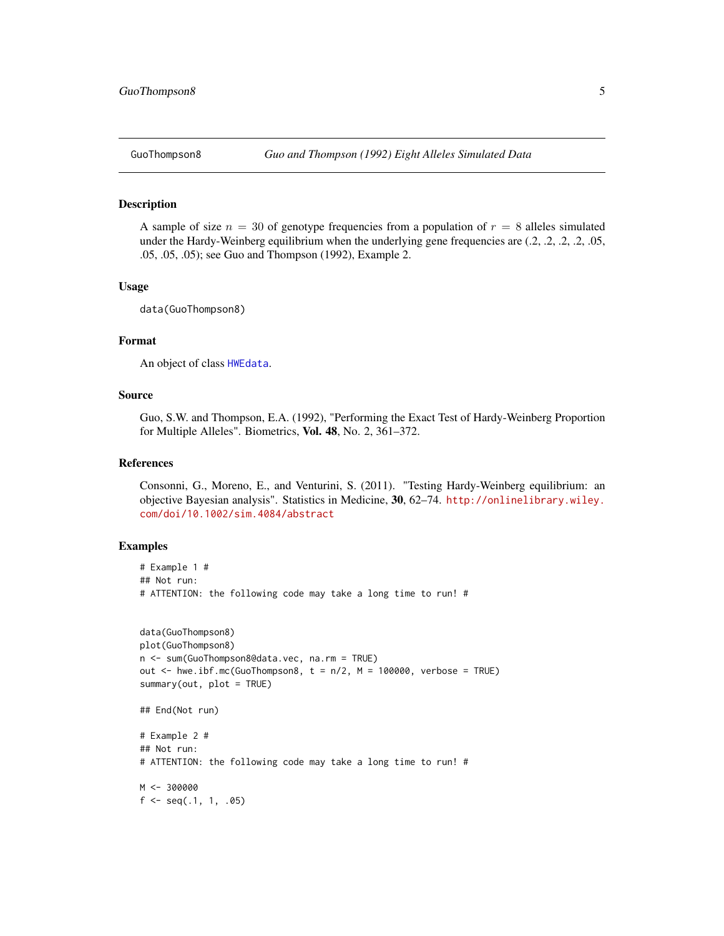<span id="page-4-0"></span>

#### **Description**

A sample of size  $n = 30$  of genotype frequencies from a population of  $r = 8$  alleles simulated under the Hardy-Weinberg equilibrium when the underlying gene frequencies are (.2, .2, .2, .2, .05, .05, .05, .05); see Guo and Thompson (1992), Example 2.

## Usage

data(GuoThompson8)

## Format

An object of class [HWEdata](#page-12-1).

## Source

Guo, S.W. and Thompson, E.A. (1992), "Performing the Exact Test of Hardy-Weinberg Proportion for Multiple Alleles". Biometrics, Vol. 48, No. 2, 361-372.

## References

Consonni, G., Moreno, E., and Venturini, S. (2011). "Testing Hardy-Weinberg equilibrium: an objective Bayesian analysis". Statistics in Medicine, 30, 62–74. [http://onlinelibrary.wiley.](http://onlinelibrary.wiley.com/doi/10.1002/sim.4084/abstract) [com/doi/10.1002/sim.4084/abstract](http://onlinelibrary.wiley.com/doi/10.1002/sim.4084/abstract)

```
# Example 1 #
## Not run:
# ATTENTION: the following code may take a long time to run! #
data(GuoThompson8)
plot(GuoThompson8)
n <- sum(GuoThompson8@data.vec, na.rm = TRUE)
out \le hwe.ibf.mc(GuoThompson8, t = n/2, M = 100000, verbose = TRUE)
summary(out, plot = TRUE)
## End(Not run)
# Example 2 #
## Not run:
# ATTENTION: the following code may take a long time to run! #
M < -300000f \leq -\text{seq}(0.1, 1, 0.05)
```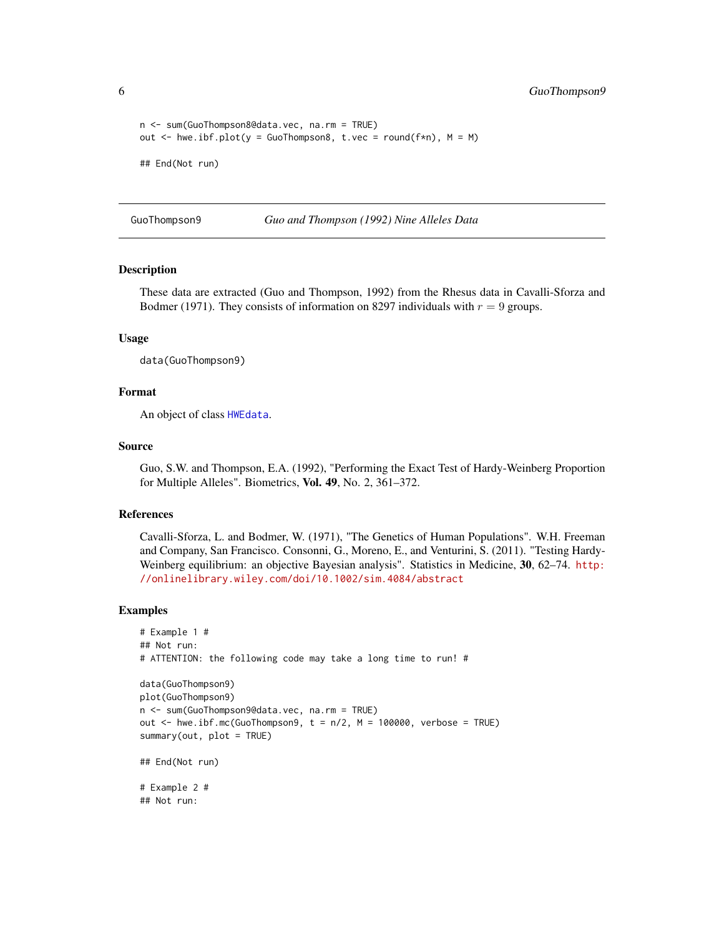```
n <- sum(GuoThompson8@data.vec, na.rm = TRUE)
out \leq hwe.ibf.plot(y = GuoThompson8, t.vec = round(f*n), M = M)
## End(Not run)
```
GuoThompson9 *Guo and Thompson (1992) Nine Alleles Data*

## Description

These data are extracted (Guo and Thompson, 1992) from the Rhesus data in Cavalli-Sforza and Bodmer (1971). They consists of information on 8297 individuals with  $r = 9$  groups.

## Usage

data(GuoThompson9)

#### Format

An object of class [HWEdata](#page-12-1).

## Source

Guo, S.W. and Thompson, E.A. (1992), "Performing the Exact Test of Hardy-Weinberg Proportion for Multiple Alleles". Biometrics, Vol. 49, No. 2, 361–372.

#### References

Cavalli-Sforza, L. and Bodmer, W. (1971), "The Genetics of Human Populations". W.H. Freeman and Company, San Francisco. Consonni, G., Moreno, E., and Venturini, S. (2011). "Testing Hardy-Weinberg equilibrium: an objective Bayesian analysis". Statistics in Medicine, 30, 62–74. [http:](http://onlinelibrary.wiley.com/doi/10.1002/sim.4084/abstract) [//onlinelibrary.wiley.com/doi/10.1002/sim.4084/abstract](http://onlinelibrary.wiley.com/doi/10.1002/sim.4084/abstract)

```
# Example 1 #
## Not run:
# ATTENTION: the following code may take a long time to run! #
data(GuoThompson9)
plot(GuoThompson9)
n <- sum(GuoThompson9@data.vec, na.rm = TRUE)
out \leq hwe.ibf.mc(GuoThompson9, t = n/2, M = 100000, verbose = TRUE)
summary(out, plot = TRUE)
## End(Not run)
# Example 2 #
## Not run:
```
<span id="page-5-0"></span>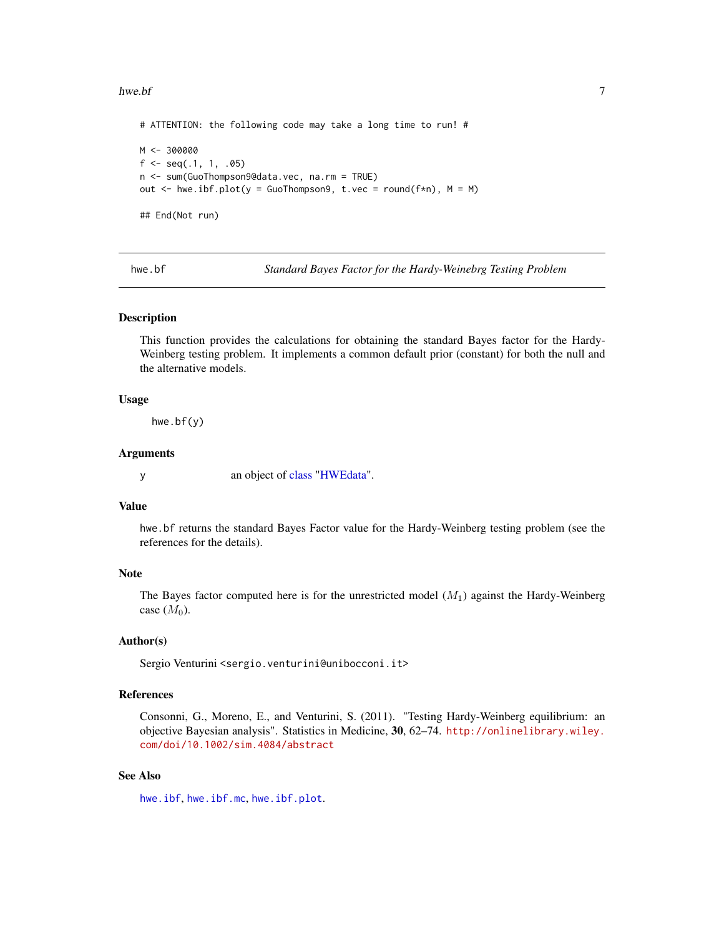#### <span id="page-6-0"></span>hwe.bf 7

```
# ATTENTION: the following code may take a long time to run! #
M < -300000f \leftarrow \text{seq}(.1, 1, .05)n <- sum(GuoThompson9@data.vec, na.rm = TRUE)
out \leq hwe.ibf.plot(y = GuoThompson9, t.vec = round(f*n), M = M)
## End(Not run)
```
<span id="page-6-1"></span>hwe.bf *Standard Bayes Factor for the Hardy-Weinebrg Testing Problem*

#### Description

This function provides the calculations for obtaining the standard Bayes factor for the Hardy-Weinberg testing problem. It implements a common default prior (constant) for both the null and the alternative models.

#### Usage

hwe.bf(y)

#### Arguments

y an object of [class](#page-0-0) ["HWEdata"](#page-12-1).

## Value

hwe.bf returns the standard Bayes Factor value for the Hardy-Weinberg testing problem (see the references for the details).

## Note

The Bayes factor computed here is for the unrestricted model  $(M_1)$  against the Hardy-Weinberg case  $(M_0)$ .

## Author(s)

Sergio Venturini <sergio.venturini@unibocconi.it>

## References

Consonni, G., Moreno, E., and Venturini, S. (2011). "Testing Hardy-Weinberg equilibrium: an objective Bayesian analysis". Statistics in Medicine, 30, 62–74. [http://onlinelibrary.wiley.](http://onlinelibrary.wiley.com/doi/10.1002/sim.4084/abstract) [com/doi/10.1002/sim.4084/abstract](http://onlinelibrary.wiley.com/doi/10.1002/sim.4084/abstract)

## See Also

[hwe.ibf](#page-7-1), [hwe.ibf.mc](#page-9-1), [hwe.ibf.plot](#page-10-1).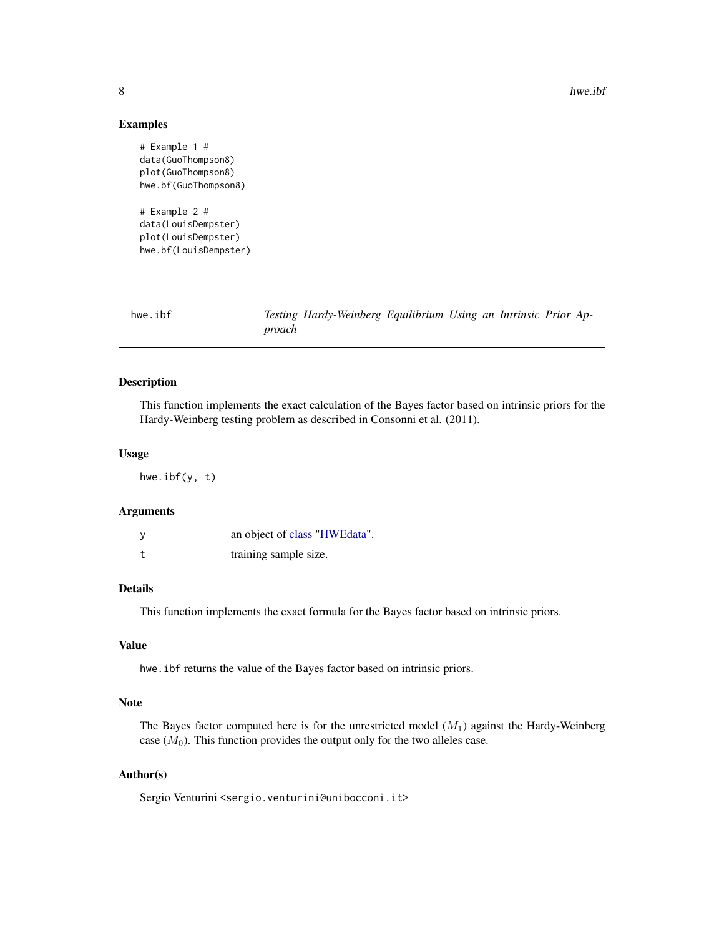#### Examples

```
# Example 1 #
data(GuoThompson8)
plot(GuoThompson8)
hwe.bf(GuoThompson8)
# Example 2 #
data(LouisDempster)
plot(LouisDempster)
```

```
hwe.bf(LouisDempster)
```
<span id="page-7-1"></span>

| hwe.ibf |        | Testing Hardy-Weinberg Equilibrium Using an Intrinsic Prior Ap- |  |  |  |
|---------|--------|-----------------------------------------------------------------|--|--|--|
|         | proach |                                                                 |  |  |  |

## Description

This function implements the exact calculation of the Bayes factor based on intrinsic priors for the Hardy-Weinberg testing problem as described in Consonni et al. (2011).

#### Usage

hwe.ibf(y, t)

#### Arguments

| an object of class "HWEdata". |
|-------------------------------|
| training sample size.         |

## Details

This function implements the exact formula for the Bayes factor based on intrinsic priors.

#### Value

hwe.ibf returns the value of the Bayes factor based on intrinsic priors.

## Note

The Bayes factor computed here is for the unrestricted model  $(M_1)$  against the Hardy-Weinberg case  $(M_0)$ . This function provides the output only for the two alleles case.

## Author(s)

<span id="page-7-0"></span>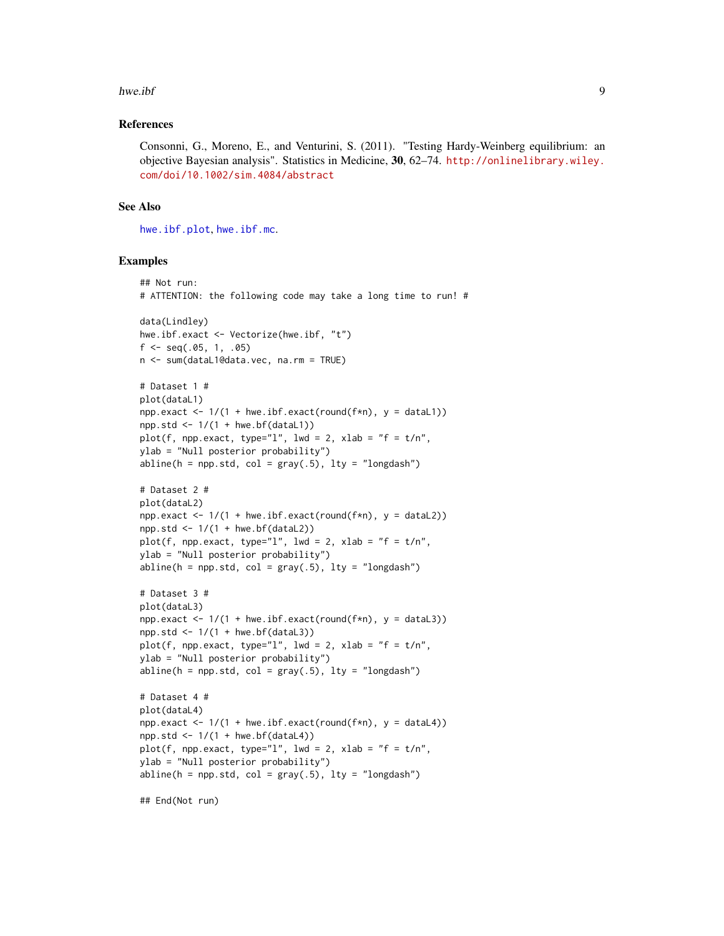#### <span id="page-8-0"></span>hwe.ibf 9

#### References

Consonni, G., Moreno, E., and Venturini, S. (2011). "Testing Hardy-Weinberg equilibrium: an objective Bayesian analysis". Statistics in Medicine, 30, 62–74. [http://onlinelibrary.wiley.](http://onlinelibrary.wiley.com/doi/10.1002/sim.4084/abstract) [com/doi/10.1002/sim.4084/abstract](http://onlinelibrary.wiley.com/doi/10.1002/sim.4084/abstract)

## See Also

[hwe.ibf.plot](#page-10-1), [hwe.ibf.mc](#page-9-1).

#### Examples

```
## Not run:
# ATTENTION: the following code may take a long time to run! #
data(Lindley)
hwe.ibf.exact <- Vectorize(hwe.ibf, "t")
f \leftarrow seq(.05, 1, .05)n <- sum(dataL1@data.vec, na.rm = TRUE)
# Dataset 1 #
plot(dataL1)
npp.exact \leq 1/(1 + \text{hw}. \text{ibf}.\text{exact}(\text{round}(f*n), y = \text{data}1))npp. std < -1/(1 + hwe. bf(dataL1))plot(f, npp.exact, type="l", lwd = 2, xlab = "f = t/n",
ylab = "Null posterior probability")
abline(h = npp.std, col = gray(.5), lty = "longdash")
# Dataset 2 #
plot(dataL2)
npp.exact <- 1/(1 + hwe.ibf.exact(round(f*n), y = dataL2))
npp.std \leq 1/(1 + hwe.bf(dataL2))plot(f, npp.exact, type="l", lwd = 2, xlab = "f = t/n",
ylab = "Null posterior probability")
abline(h = npp.std, col = gray(.5), lty = "longdash")# Dataset 3 #
plot(dataL3)
npp.exact <- 1/(1 + hwe.ibf.exact(round(f*n), y = dataL3))npp. std < -1/(1 + hwe.bf(dataL3))plot(f, npp.exact, type="l", lwd = 2, xlab = "f = t/n",
ylab = "Null posterior probability")
abline(h = npp.std, col = gray(.5), lty = "longdash")# Dataset 4 #
plot(dataL4)
npp.exact <- 1/(1 + hwe.ibf.exact(round(f*n), y = data[4])npp.std \leq 1/(1 + hwe.bf(dataL4))plot(f, npp.exact, type="l", lwd = 2, xlab = "f = t/n",
ylab = "Null posterior probability")
abline(h = npp.std, col = gray(.5), lty = "longdash")
```
## End(Not run)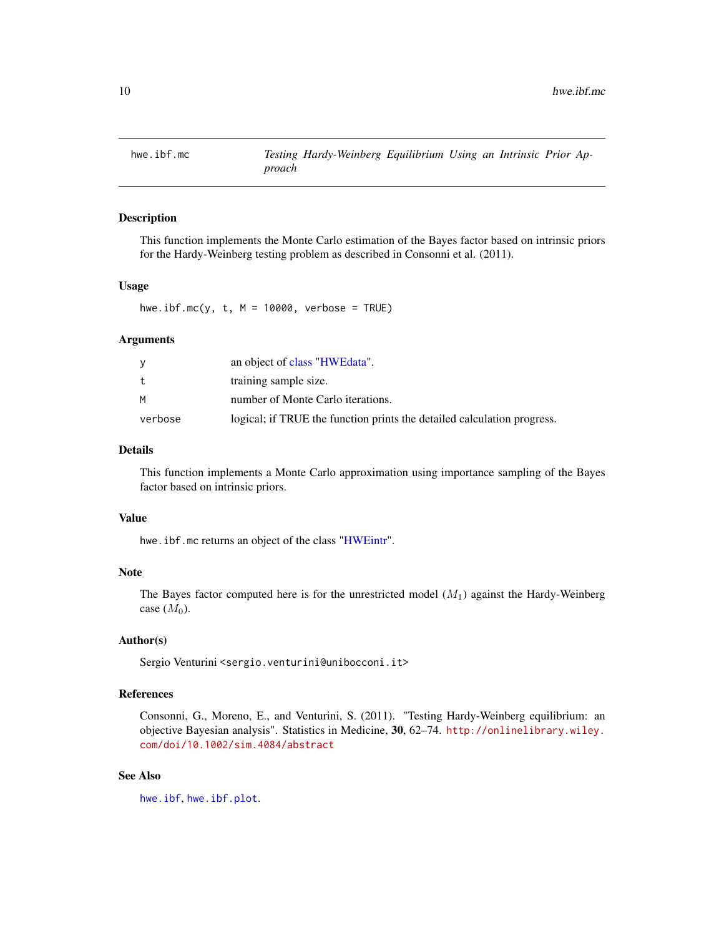<span id="page-9-1"></span><span id="page-9-0"></span>

## **Description**

This function implements the Monte Carlo estimation of the Bayes factor based on intrinsic priors for the Hardy-Weinberg testing problem as described in Consonni et al. (2011).

## Usage

hwe.ibf.mc(y,  $t$ ,  $M = 10000$ , verbose = TRUE)

#### Arguments

|         | an object of class "HWEdata".                                           |
|---------|-------------------------------------------------------------------------|
| t       | training sample size.                                                   |
| м       | number of Monte Carlo iterations.                                       |
| verbose | logical; if TRUE the function prints the detailed calculation progress. |

## Details

This function implements a Monte Carlo approximation using importance sampling of the Bayes factor based on intrinsic priors.

## Value

hwe.ibf.mc returns an object of the class ["HWEintr"](#page-13-1).

## Note

The Bayes factor computed here is for the unrestricted model  $(M_1)$  against the Hardy-Weinberg case  $(M_0)$ .

## Author(s)

Sergio Venturini <sergio.venturini@unibocconi.it>

## References

Consonni, G., Moreno, E., and Venturini, S. (2011). "Testing Hardy-Weinberg equilibrium: an objective Bayesian analysis". Statistics in Medicine, 30, 62–74. [http://onlinelibrary.wiley.](http://onlinelibrary.wiley.com/doi/10.1002/sim.4084/abstract) [com/doi/10.1002/sim.4084/abstract](http://onlinelibrary.wiley.com/doi/10.1002/sim.4084/abstract)

## See Also

[hwe.ibf](#page-7-1), [hwe.ibf.plot](#page-10-1).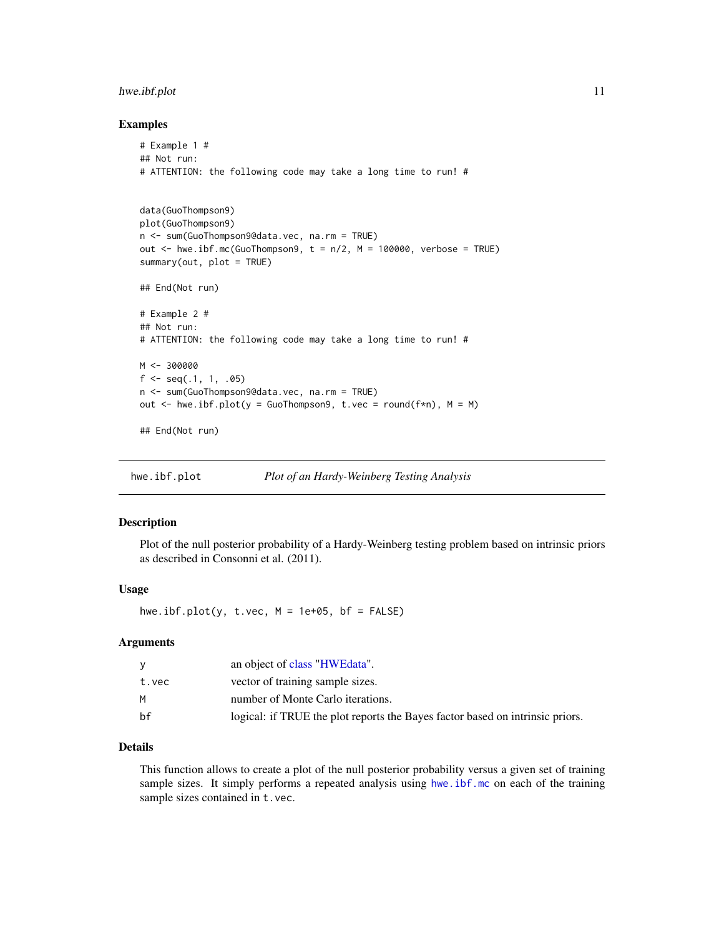## <span id="page-10-0"></span>hwe.ibf.plot 11

#### Examples

```
# Example 1 #
## Not run:
# ATTENTION: the following code may take a long time to run! #
data(GuoThompson9)
plot(GuoThompson9)
n <- sum(GuoThompson9@data.vec, na.rm = TRUE)
out \le hwe.ibf.mc(GuoThompson9, t = n/2, M = 100000, verbose = TRUE)
summary(out, plot = TRUE)
## End(Not run)
# Example 2 #
## Not run:
# ATTENTION: the following code may take a long time to run! #
M < -300000f \leftarrow \text{seq}(.1, 1, .05)n <- sum(GuoThompson9@data.vec, na.rm = TRUE)
out \leq hwe.ibf.plot(y = GuoThompson9, t.vec = round(f*n), M = M)
## End(Not run)
```
<span id="page-10-1"></span>hwe.ibf.plot *Plot of an Hardy-Weinberg Testing Analysis*

#### Description

Plot of the null posterior probability of a Hardy-Weinberg testing problem based on intrinsic priors as described in Consonni et al. (2011).

## Usage

hwe.ibf.plot(y, t.vec,  $M = 1e+05$ , bf = FALSE)

## Arguments

|       | an object of class "HWEdata".                                                 |
|-------|-------------------------------------------------------------------------------|
| t.vec | vector of training sample sizes.                                              |
| м     | number of Monte Carlo iterations.                                             |
| hf    | logical: if TRUE the plot reports the Bayes factor based on intrinsic priors. |

## Details

This function allows to create a plot of the null posterior probability versus a given set of training sample sizes. It simply performs a repeated analysis using [hwe.ibf.mc](#page-9-1) on each of the training sample sizes contained in t.vec.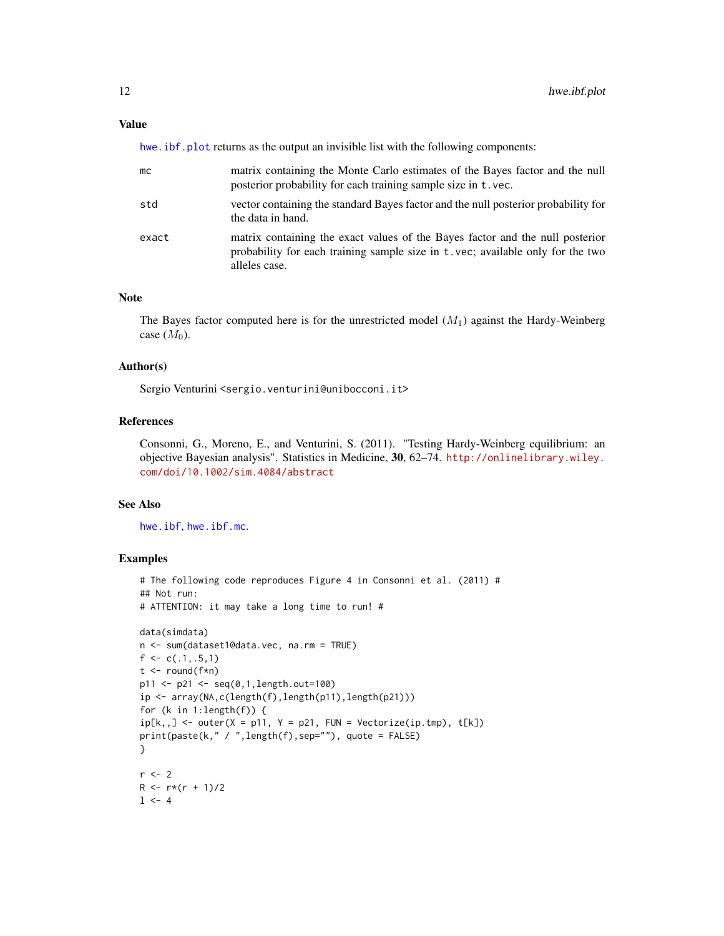## <span id="page-11-0"></span>Value

hwe. ibf.plot returns as the output an invisible list with the following components:

| mс    | matrix containing the Monte Carlo estimates of the Bayes factor and the null<br>posterior probability for each training sample size in t.vec.                                    |
|-------|----------------------------------------------------------------------------------------------------------------------------------------------------------------------------------|
| std   | vector containing the standard Bayes factor and the null posterior probability for<br>the data in hand.                                                                          |
| exact | matrix containing the exact values of the Bayes factor and the null posterior<br>probability for each training sample size in t.vec; available only for the two<br>alleles case. |

## Note

The Bayes factor computed here is for the unrestricted model  $(M_1)$  against the Hardy-Weinberg case  $(M_0)$ .

## Author(s)

Sergio Venturini <sergio.venturini@unibocconi.it>

## References

Consonni, G., Moreno, E., and Venturini, S. (2011). "Testing Hardy-Weinberg equilibrium: an objective Bayesian analysis". Statistics in Medicine, 30, 62–74. [http://onlinelibrary.wiley.](http://onlinelibrary.wiley.com/doi/10.1002/sim.4084/abstract) [com/doi/10.1002/sim.4084/abstract](http://onlinelibrary.wiley.com/doi/10.1002/sim.4084/abstract)

## See Also

[hwe.ibf](#page-7-1), [hwe.ibf.mc](#page-9-1).

```
# The following code reproduces Figure 4 in Consonni et al. (2011) #
## Not run:
# ATTENTION: it may take a long time to run! #
data(simdata)
n <- sum(dataset1@data.vec, na.rm = TRUE)
f \leftarrow c(.1,.5,1)t < - round(f * n)
p11 <- p21 <- seq(0,1,length.out=100)
ip <- array(NA,c(length(f),length(p11),length(p21)))
for (k in 1:length(f)) {
ip[k, ] \leftarrow outer(X = p11, Y = p21, FUN = Vectorize(ip.tmp), t[k])print(paste(k," / ",length(f),sep=""), quote = FALSE)
}
r <- 2
R < -r*(r + 1)/21 < -4
```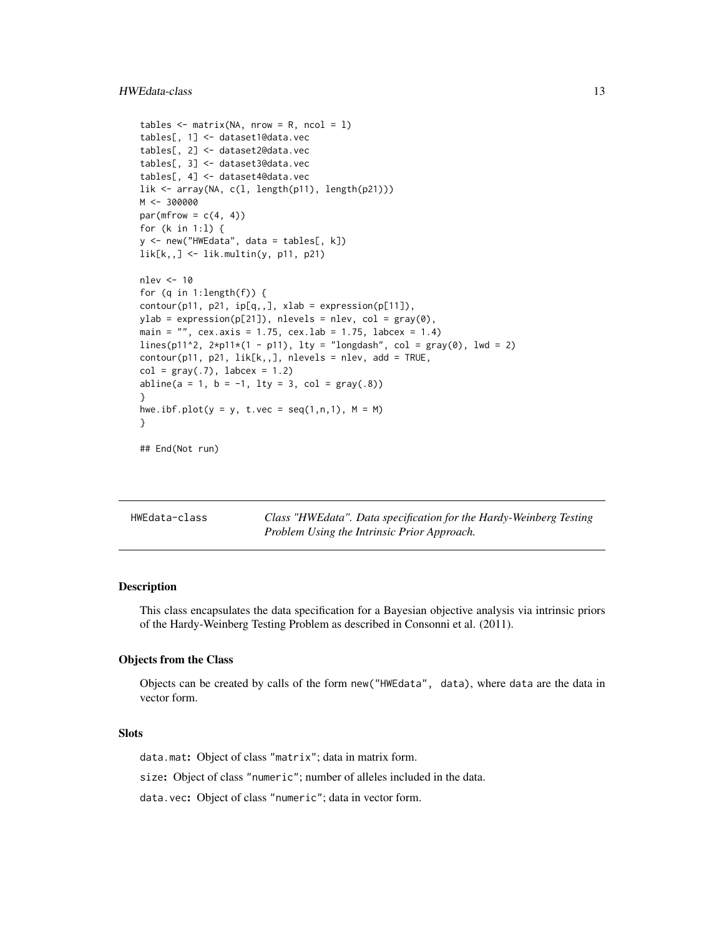## <span id="page-12-0"></span>HWEdata-class 13

```
tables \leq matrix(NA, nrow = R, ncol = 1)
tables[, 1] <- dataset1@data.vec
tables[, 2] <- dataset2@data.vec
tables[, 3] <- dataset3@data.vec
tables[, 4] <- dataset4@data.vec
lik <- array(NA, c(l, length(p11), length(p21)))
M <- 300000
par(mfrow = c(4, 4))
for (k in 1:l) {
y <- new("HWEdata", data = tables[, k])
lik[k,,] <- lik.multin(y, p11, p21)
nlev <- 10
for (q in 1:length(f)) {
contour(p11, p21, ip[q, ,], xlab = expression(p[11]),ylab = expression(p[21]), nlevels = nlev, col = gray(0),
main = ", cex.axis = 1.75, cex.lab = 1.75, labcex = 1.4)
lines(p11^2, 2*pi1*(1 - p11), 1ty = "longdash", col = gray(0), 1wd = 2)contour(p11, p21, lik[k, ,], nlevels = nlev, add = TRUE,col = gray(.7), labcex = 1.2)
abline(a = 1, b = -1, lty = 3, col = gray(.8))
}
hwe.ibf.plot(y = y, t.vec = seq(1,n,1), M = M)
}
```

```
## End(Not run)
```
HWEdata-class *Class "HWEdata". Data specification for the Hardy-Weinberg Testing Problem Using the Intrinsic Prior Approach.*

## <span id="page-12-1"></span>**Description**

This class encapsulates the data specification for a Bayesian objective analysis via intrinsic priors of the Hardy-Weinberg Testing Problem as described in Consonni et al. (2011).

#### Objects from the Class

Objects can be created by calls of the form new("HWEdata", data), where data are the data in vector form.

## **Slots**

data.mat: Object of class "matrix"; data in matrix form.

size: Object of class "numeric"; number of alleles included in the data.

data.vec: Object of class "numeric"; data in vector form.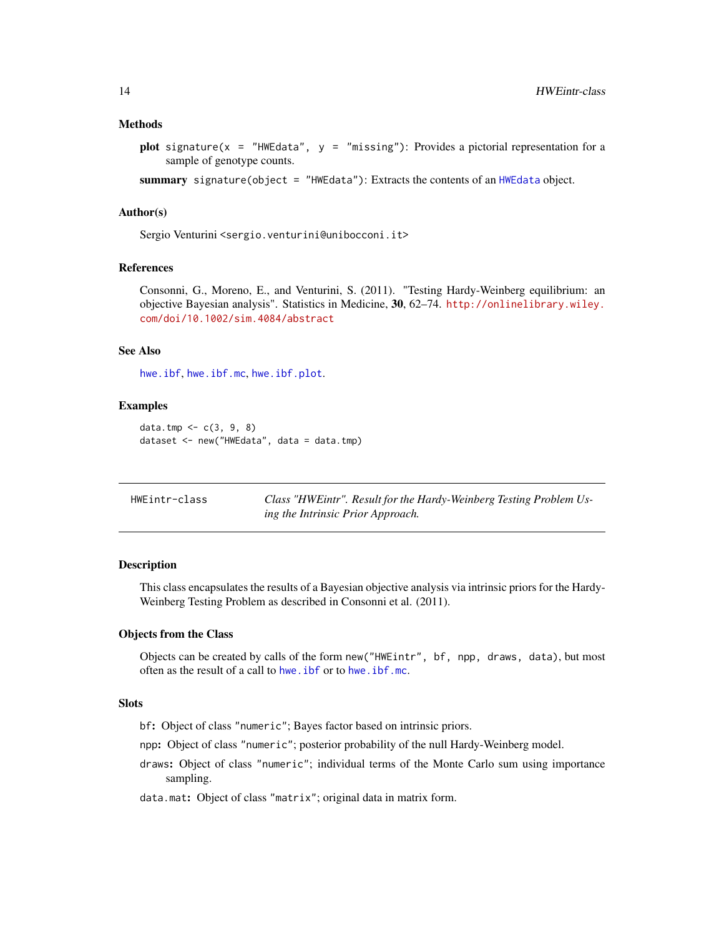#### <span id="page-13-0"></span>Methods

plot signature( $x =$  "HWEdata",  $y =$  "missing"): Provides a pictorial representation for a sample of genotype counts.

summary signature(object = "HWEdata"): Extracts the contents of an [HWEdata](#page-12-1) object.

## Author(s)

Sergio Venturini <sergio.venturini@unibocconi.it>

## References

Consonni, G., Moreno, E., and Venturini, S. (2011). "Testing Hardy-Weinberg equilibrium: an objective Bayesian analysis". Statistics in Medicine, 30, 62–74. [http://onlinelibrary.wiley.](http://onlinelibrary.wiley.com/doi/10.1002/sim.4084/abstract) [com/doi/10.1002/sim.4084/abstract](http://onlinelibrary.wiley.com/doi/10.1002/sim.4084/abstract)

## See Also

[hwe.ibf](#page-7-1), [hwe.ibf.mc](#page-9-1), [hwe.ibf.plot](#page-10-1).

#### Examples

```
data.tmp <- c(3, 9, 8)
dataset <- new("HWEdata", data = data.tmp)
```

| HWEintr-class | Class "HWEintr". Result for the Hardy-Weinberg Testing Problem Us- |
|---------------|--------------------------------------------------------------------|
|               | ing the Intrinsic Prior Approach.                                  |

## <span id="page-13-1"></span>Description

This class encapsulates the results of a Bayesian objective analysis via intrinsic priors for the Hardy-Weinberg Testing Problem as described in Consonni et al. (2011).

## Objects from the Class

Objects can be created by calls of the form new("HWEintr", bf, npp, draws, data), but most often as the result of a call to [hwe.ibf](#page-7-1) or to [hwe.ibf.mc](#page-9-1).

## **Slots**

bf: Object of class "numeric"; Bayes factor based on intrinsic priors.

npp: Object of class "numeric"; posterior probability of the null Hardy-Weinberg model.

draws: Object of class "numeric"; individual terms of the Monte Carlo sum using importance sampling.

data.mat: Object of class "matrix"; original data in matrix form.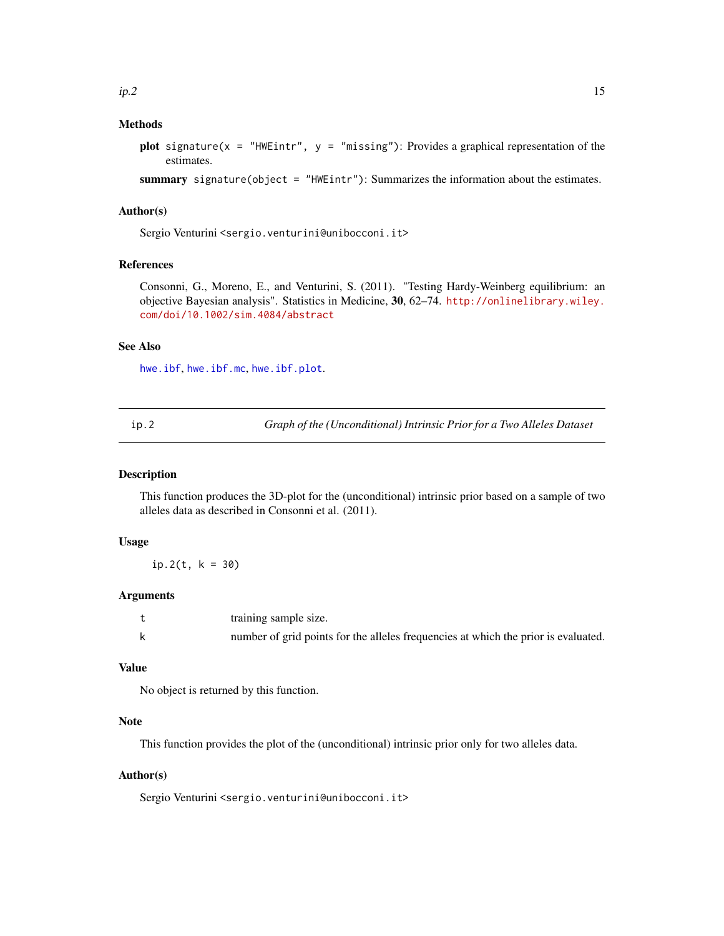## <span id="page-14-0"></span>Methods

plot signature(x = "HWEintr",  $y =$  "missing"): Provides a graphical representation of the estimates.

summary signature(object = "HWEintr"): Summarizes the information about the estimates.

#### Author(s)

Sergio Venturini <sergio.venturini@unibocconi.it>

## References

Consonni, G., Moreno, E., and Venturini, S. (2011). "Testing Hardy-Weinberg equilibrium: an objective Bayesian analysis". Statistics in Medicine, 30, 62–74. [http://onlinelibrary.wiley.](http://onlinelibrary.wiley.com/doi/10.1002/sim.4084/abstract) [com/doi/10.1002/sim.4084/abstract](http://onlinelibrary.wiley.com/doi/10.1002/sim.4084/abstract)

## See Also

[hwe.ibf](#page-7-1), [hwe.ibf.mc](#page-9-1), [hwe.ibf.plot](#page-10-1).

<span id="page-14-1"></span>ip.2 *Graph of the (Unconditional) Intrinsic Prior for a Two Alleles Dataset*

#### **Description**

This function produces the 3D-plot for the (unconditional) intrinsic prior based on a sample of two alleles data as described in Consonni et al. (2011).

## Usage

 $ip.2(t, k = 30)$ 

## Arguments

| training sample size.                                                              |
|------------------------------------------------------------------------------------|
| number of grid points for the alleles frequencies at which the prior is evaluated. |

#### Value

No object is returned by this function.

## Note

This function provides the plot of the (unconditional) intrinsic prior only for two alleles data.

## Author(s)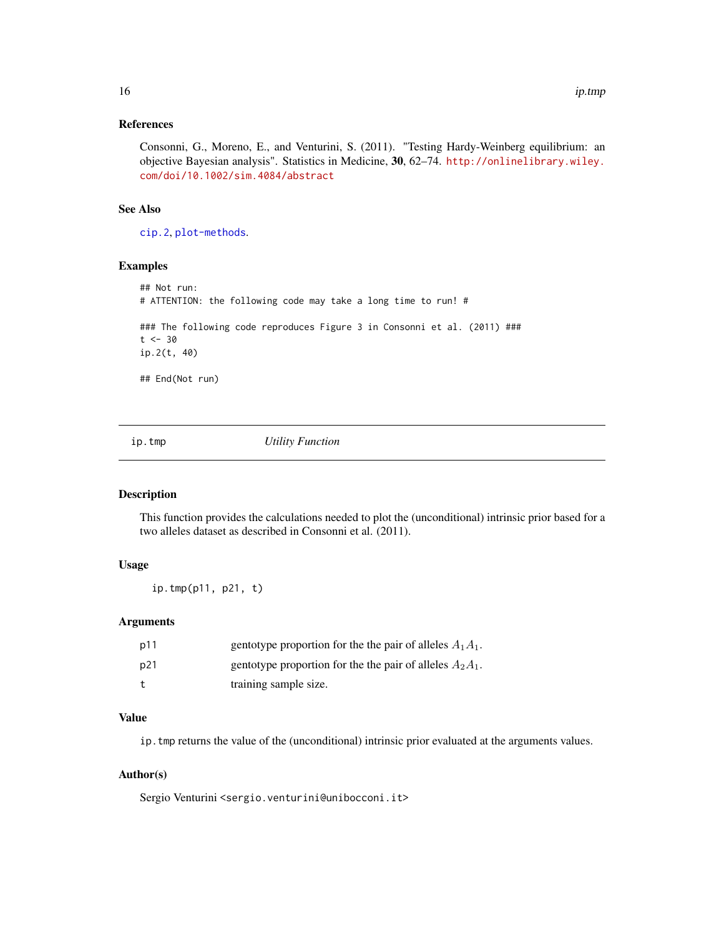#### <span id="page-15-0"></span>References

Consonni, G., Moreno, E., and Venturini, S. (2011). "Testing Hardy-Weinberg equilibrium: an objective Bayesian analysis". Statistics in Medicine, 30, 62–74. [http://onlinelibrary.wiley.](http://onlinelibrary.wiley.com/doi/10.1002/sim.4084/abstract) [com/doi/10.1002/sim.4084/abstract](http://onlinelibrary.wiley.com/doi/10.1002/sim.4084/abstract)

## See Also

[cip.2](#page-2-1), [plot-methods](#page-20-1).

## Examples

```
## Not run:
# ATTENTION: the following code may take a long time to run! #
### The following code reproduces Figure 3 in Consonni et al. (2011) ###
t < -30ip.2(t, 40)
## End(Not run)
```
ip.tmp *Utility Function*

## Description

This function provides the calculations needed to plot the (unconditional) intrinsic prior based for a two alleles dataset as described in Consonni et al. (2011).

## Usage

ip.tmp(p11, p21, t)

## Arguments

| p11 | gentotype proportion for the the pair of alleles $A_1A_1$ . |
|-----|-------------------------------------------------------------|
| p21 | gentotype proportion for the the pair of alleles $A_2A_1$ . |
|     | training sample size.                                       |

## Value

ip.tmp returns the value of the (unconditional) intrinsic prior evaluated at the arguments values.

## Author(s)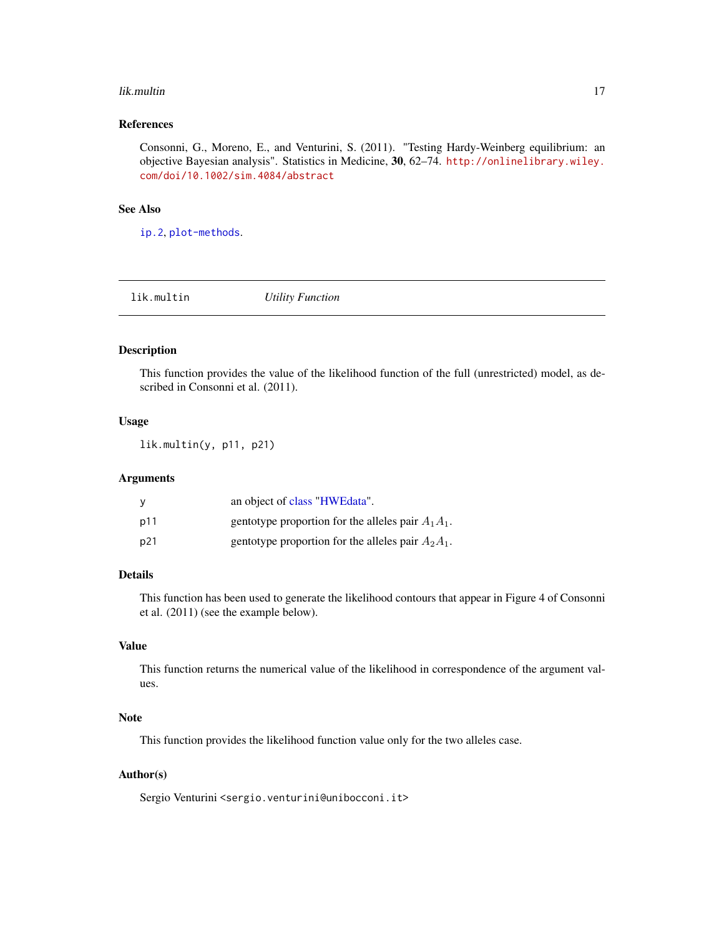#### <span id="page-16-0"></span>lik.multin 17

## References

Consonni, G., Moreno, E., and Venturini, S. (2011). "Testing Hardy-Weinberg equilibrium: an objective Bayesian analysis". Statistics in Medicine, 30, 62–74. [http://onlinelibrary.wiley.](http://onlinelibrary.wiley.com/doi/10.1002/sim.4084/abstract) [com/doi/10.1002/sim.4084/abstract](http://onlinelibrary.wiley.com/doi/10.1002/sim.4084/abstract)

## See Also

[ip.2](#page-14-1), [plot-methods](#page-20-1).

lik.multin *Utility Function*

## Description

This function provides the value of the likelihood function of the full (unrestricted) model, as described in Consonni et al. (2011).

## Usage

lik.multin(y, p11, p21)

#### Arguments

|     | an object of class "HWEdata".                        |
|-----|------------------------------------------------------|
| p11 | gentotype proportion for the alleles pair $A_1A_1$ . |
| p21 | gentotype proportion for the alleles pair $A_2A_1$ . |

## Details

This function has been used to generate the likelihood contours that appear in Figure 4 of Consonni et al. (2011) (see the example below).

## Value

This function returns the numerical value of the likelihood in correspondence of the argument values.

## Note

This function provides the likelihood function value only for the two alleles case.

## Author(s)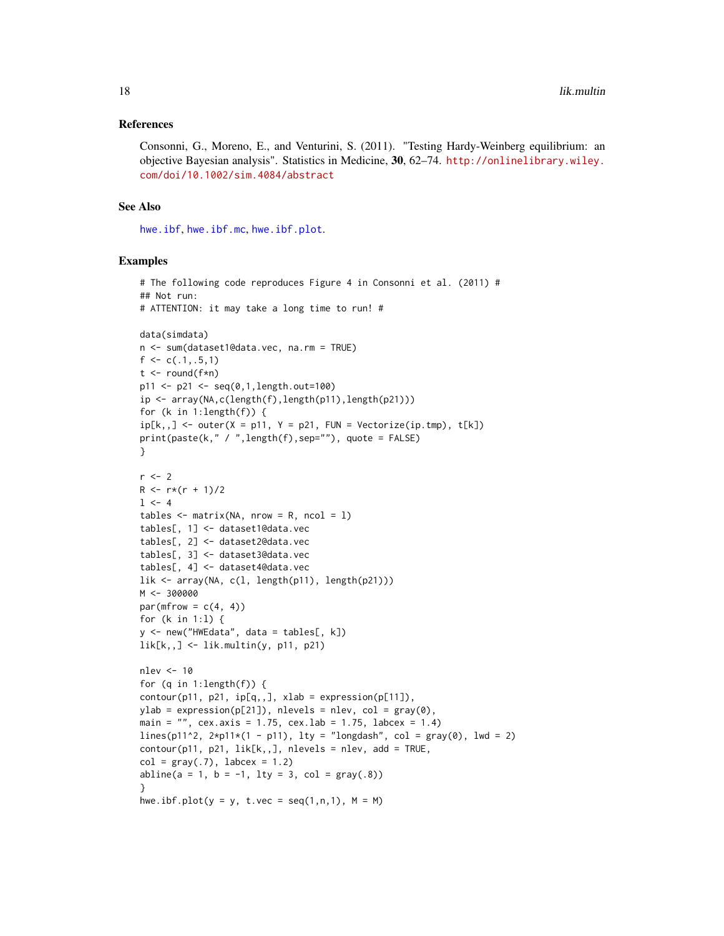#### <span id="page-17-0"></span>References

Consonni, G., Moreno, E., and Venturini, S. (2011). "Testing Hardy-Weinberg equilibrium: an objective Bayesian analysis". Statistics in Medicine, 30, 62–74. [http://onlinelibrary.wiley.](http://onlinelibrary.wiley.com/doi/10.1002/sim.4084/abstract) [com/doi/10.1002/sim.4084/abstract](http://onlinelibrary.wiley.com/doi/10.1002/sim.4084/abstract)

## See Also

[hwe.ibf](#page-7-1), [hwe.ibf.mc](#page-9-1), [hwe.ibf.plot](#page-10-1).

```
# The following code reproduces Figure 4 in Consonni et al. (2011) #
## Not run:
# ATTENTION: it may take a long time to run! #
data(simdata)
n <- sum(dataset1@data.vec, na.rm = TRUE)
f \leftarrow c(.1,.5,1)t \le round(f * n)
p11 <- p21 <- seq(0,1,length.out=100)
ip <- array(NA,c(length(f),length(p11),length(p21)))
for (k in 1:length(f)) {
ip[k, ] \leftarrow outer(X = p11, Y = p21, FUN = Vectorize(ip.tmp), t[k])print(paste(k," / ",length(f),sep=""), quote = FALSE)
}
r < -2R \leq -r*(r + 1)/21 < -4tables \leq matrix(NA, nrow = R, ncol = 1)
tables[, 1] <- dataset1@data.vec
tables[, 2] <- dataset2@data.vec
tables[, 3] <- dataset3@data.vec
tables[, 4] <- dataset4@data.vec
lik <- array(NA, c(l, length(p11), length(p21)))
M < -300000par(mfrow = c(4, 4))for (k in 1:l) {
y <- new("HWEdata", data = tables[, k])
lik[k, ] \leftarrow lik.multin(y, p11, p21)nlev <- 10
for (q in 1:length(f)) {
contour(p11, p21, ip[q, 1, xlab = expression(p[11]),ylab = expression(p[21]), nlevels = nlev, col = gray(0),
main = ", cex.axis = 1.75, cex.lab = 1.75, labcex = 1.4)
lines(p11^2, 2*pi1*(1 - p11), lty = "longdash", col = gray(0), lwd = 2)
contour(p11, p21, lik[k,,], nlevels = nlev, add = TRUE,col = gray(.7), labcex = 1.2)
abline(a = 1, b = -1, lty = 3, col = gray(.8))
}
hwe.ibf.plot(y = y, t.vec = seq(1,n,1), M = M)
```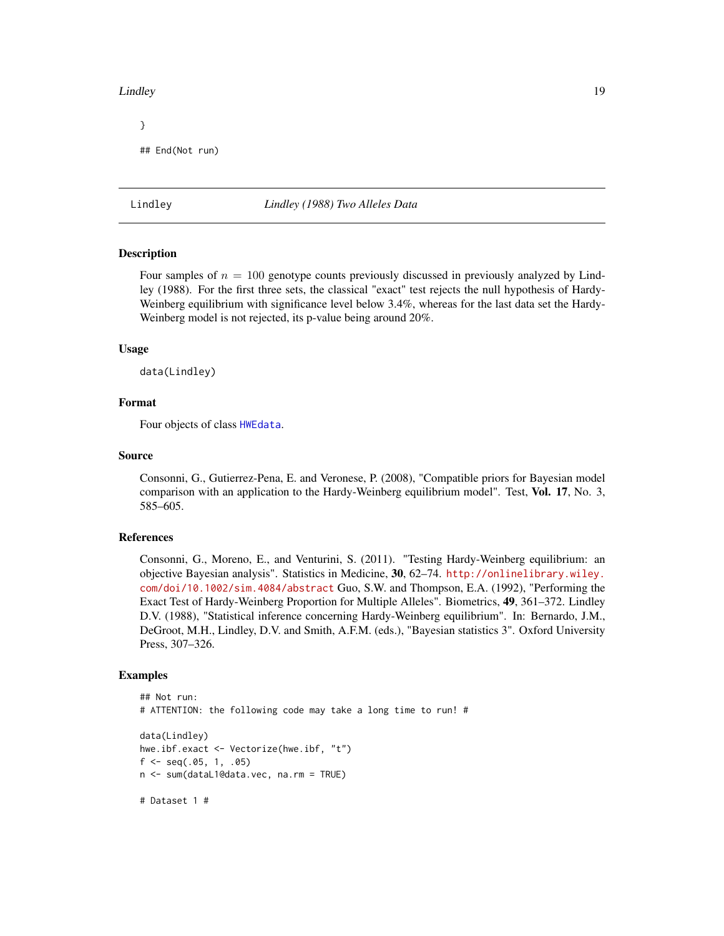#### <span id="page-18-0"></span>Lindley 19

```
}
## End(Not run)
```
#### Lindley *Lindley (1988) Two Alleles Data*

#### Description

Four samples of  $n = 100$  genotype counts previously discussed in previously analyzed by Lindley (1988). For the first three sets, the classical "exact" test rejects the null hypothesis of Hardy-Weinberg equilibrium with significance level below 3.4%, whereas for the last data set the Hardy-Weinberg model is not rejected, its p-value being around 20%.

#### Usage

data(Lindley)

## Format

Four objects of class [HWEdata](#page-12-1).

## Source

Consonni, G., Gutierrez-Pena, E. and Veronese, P. (2008), "Compatible priors for Bayesian model comparison with an application to the Hardy-Weinberg equilibrium model". Test, Vol. 17, No. 3, 585–605.

## References

Consonni, G., Moreno, E., and Venturini, S. (2011). "Testing Hardy-Weinberg equilibrium: an objective Bayesian analysis". Statistics in Medicine, 30, 62–74. [http://onlinelibrary.wiley.](http://onlinelibrary.wiley.com/doi/10.1002/sim.4084/abstract) [com/doi/10.1002/sim.4084/abstract](http://onlinelibrary.wiley.com/doi/10.1002/sim.4084/abstract) Guo, S.W. and Thompson, E.A. (1992), "Performing the Exact Test of Hardy-Weinberg Proportion for Multiple Alleles". Biometrics, 49, 361–372. Lindley D.V. (1988), "Statistical inference concerning Hardy-Weinberg equilibrium". In: Bernardo, J.M., DeGroot, M.H., Lindley, D.V. and Smith, A.F.M. (eds.), "Bayesian statistics 3". Oxford University Press, 307–326.

```
## Not run:
# ATTENTION: the following code may take a long time to run! #
data(Lindley)
hwe.ibf.exact <- Vectorize(hwe.ibf, "t")
f \leftarrow \text{seq(.05, 1, .05)}n <- sum(dataL1@data.vec, na.rm = TRUE)
# Dataset 1 #
```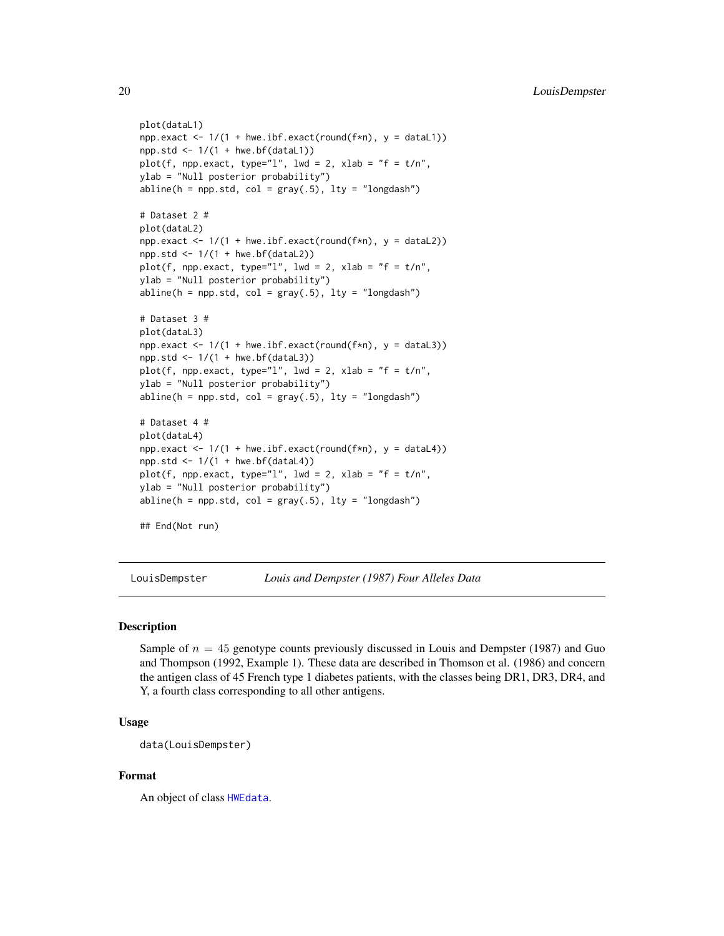```
plot(dataL1)
npp {\text{.exact}} \leq 1/(1 + \text{hwe} \cdot \text{ibf} \cdot \text{exact}(\text{round}(f * n), y = \text{dataL1}))npp.std \leftarrow 1/(1 + hwe.bf(dataL1))plot(f, npp.exact, type="l", lwd = 2, xlab = "f = t/n",
ylab = "Null posterior probability")
abline(h = npp.std, col = gray(.5), lty = "longdash")# Dataset 2 #
plot(dataL2)
npp {\text{.exact}} < -1/(1 + \text{hwe} \cdot \text{ibf} \cdot \text{exact}(\text{round}(f*n), y = \text{dataL2}))npp.std \leftarrow 1/(1 + hwe.bf(dataL2))plot(f, npp.exact, type="l", lwd = 2, xlab = "f = t/n",
ylab = "Null posterior probability")
abline(h = npp.std, col = gray(.5), lty = "longdash")# Dataset 3 #
plot(dataL3)
npp.exact <- 1/(1 + hwe.ibf.exact(round(f*n), y = dataL3))npp.std \leq 1/(1 + hwe.bf(dataL3))plot(f, npp.exact, type="l", lwd = 2, xlab = "f = t/n",
ylab = "Null posterior probability")
abline(h = npp.std, col = gray(.5), lty = "longdash")
# Dataset 4 #
plot(dataL4)
npp {\text{.exact}} < -1/(1 + hwe {\text{.ibf.exact}}(round(f*n), y = dataL4))npp.std \leftarrow 1/(1 + hwe.bf(dataL4))plot(f, npp.exact, type="l", lwd = 2, xlab = "f = t/n",
ylab = "Null posterior probability")
abline(h = npp.std, col = gray(.5), lty = "longdash")
```

```
## End(Not run)
```
LouisDempster *Louis and Dempster (1987) Four Alleles Data*

#### Description

Sample of  $n = 45$  genotype counts previously discussed in Louis and Dempster (1987) and Guo and Thompson (1992, Example 1). These data are described in Thomson et al. (1986) and concern the antigen class of 45 French type 1 diabetes patients, with the classes being DR1, DR3, DR4, and Y, a fourth class corresponding to all other antigens.

## Usage

data(LouisDempster)

## Format

An object of class [HWEdata](#page-12-1).

<span id="page-19-0"></span>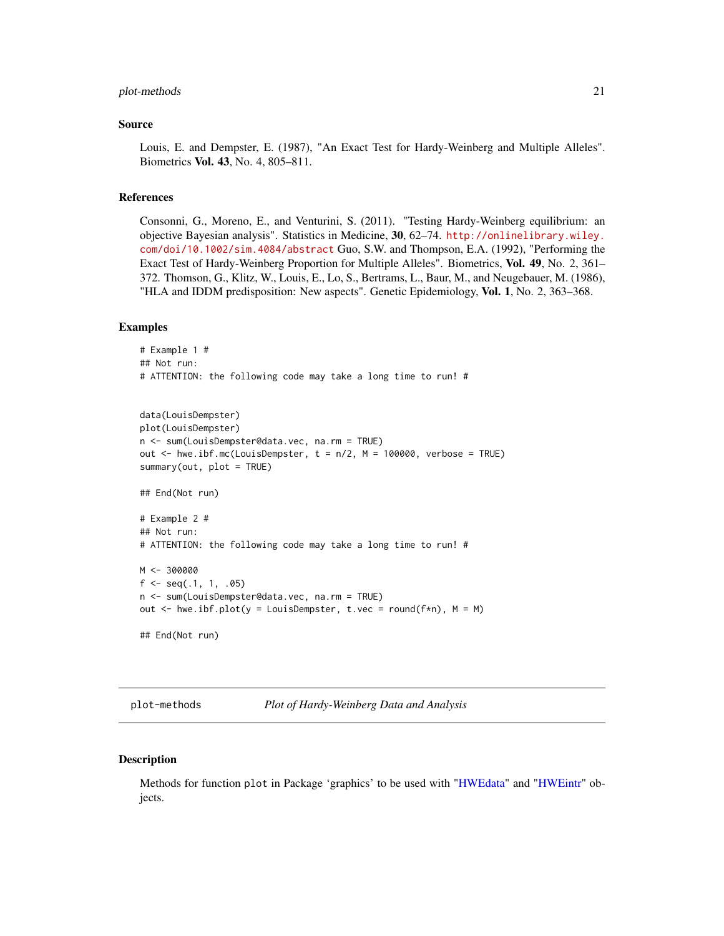#### <span id="page-20-0"></span>plot-methods 21

#### Source

Louis, E. and Dempster, E. (1987), "An Exact Test for Hardy-Weinberg and Multiple Alleles". Biometrics Vol. 43, No. 4, 805–811.

#### References

Consonni, G., Moreno, E., and Venturini, S. (2011). "Testing Hardy-Weinberg equilibrium: an objective Bayesian analysis". Statistics in Medicine, 30, 62–74. [http://onlinelibrary.wiley.](http://onlinelibrary.wiley.com/doi/10.1002/sim.4084/abstract) [com/doi/10.1002/sim.4084/abstract](http://onlinelibrary.wiley.com/doi/10.1002/sim.4084/abstract) Guo, S.W. and Thompson, E.A. (1992), "Performing the Exact Test of Hardy-Weinberg Proportion for Multiple Alleles". Biometrics, Vol. 49, No. 2, 361– 372. Thomson, G., Klitz, W., Louis, E., Lo, S., Bertrams, L., Baur, M., and Neugebauer, M. (1986), "HLA and IDDM predisposition: New aspects". Genetic Epidemiology, Vol. 1, No. 2, 363–368.

#### Examples

```
# Example 1 #
## Not run:
# ATTENTION: the following code may take a long time to run! #
data(LouisDempster)
plot(LouisDempster)
n <- sum(LouisDempster@data.vec, na.rm = TRUE)
out \leq hwe.ibf.mc(LouisDempster, t = n/2, M = 100000, verbose = TRUE)
summary(out, plot = TRUE)
## End(Not run)
# Example 2 #
## Not run:
# ATTENTION: the following code may take a long time to run! #
M < -300000f \leq -\text{seq}(.1, 1, .05)n <- sum(LouisDempster@data.vec, na.rm = TRUE)
out \leq hwe.ibf.plot(y = LouisDempster, t.vec = round(f*n), M = M)
## End(Not run)
```
<span id="page-20-1"></span>plot-methods *Plot of Hardy-Weinberg Data and Analysis*

#### Description

Methods for function plot in Package 'graphics' to be used with ["HWEdata"](#page-12-1) and ["HWEintr"](#page-13-1) objects.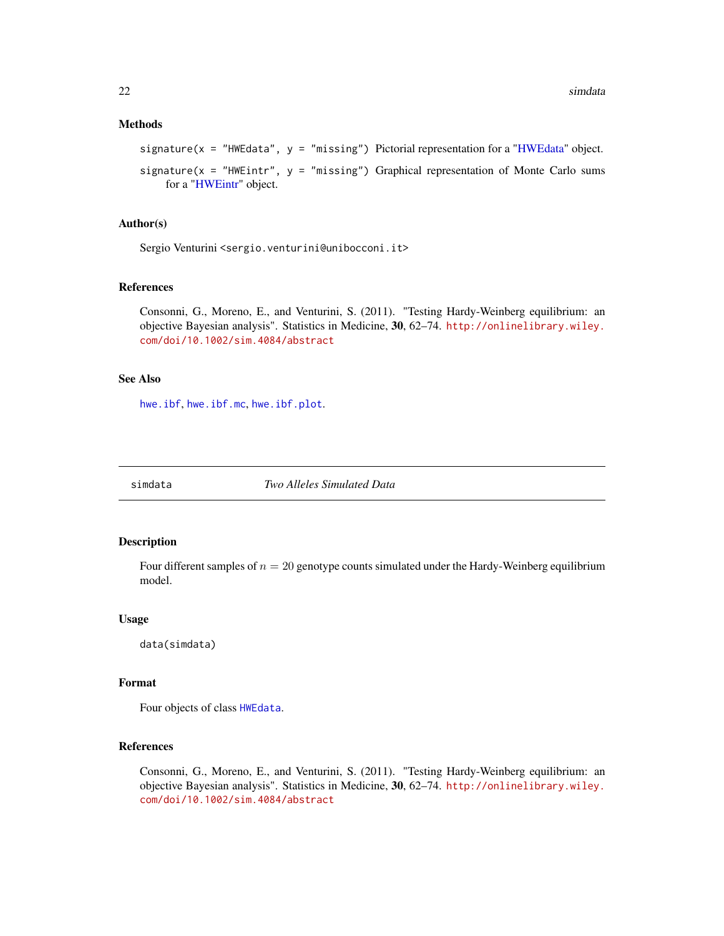## <span id="page-21-0"></span>Methods

```
signature(x ="HWEdata", y = "missing") Pictorial representation for a "HWEdata" object.
```

```
signature(x = "HWEintr", y = "missing") Graphical representation of Monte Carlo sums
    for a "HWEintr" object.
```
## Author(s)

Sergio Venturini <sergio.venturini@unibocconi.it>

#### References

Consonni, G., Moreno, E., and Venturini, S. (2011). "Testing Hardy-Weinberg equilibrium: an objective Bayesian analysis". Statistics in Medicine, 30, 62–74. [http://onlinelibrary.wiley.](http://onlinelibrary.wiley.com/doi/10.1002/sim.4084/abstract) [com/doi/10.1002/sim.4084/abstract](http://onlinelibrary.wiley.com/doi/10.1002/sim.4084/abstract)

## See Also

[hwe.ibf](#page-7-1), [hwe.ibf.mc](#page-9-1), [hwe.ibf.plot](#page-10-1).

simdata *Two Alleles Simulated Data*

#### Description

Four different samples of  $n = 20$  genotype counts simulated under the Hardy-Weinberg equilibrium model.

#### Usage

data(simdata)

## Format

Four objects of class [HWEdata](#page-12-1).

## References

Consonni, G., Moreno, E., and Venturini, S. (2011). "Testing Hardy-Weinberg equilibrium: an objective Bayesian analysis". Statistics in Medicine, 30, 62–74. [http://onlinelibrary.wiley.](http://onlinelibrary.wiley.com/doi/10.1002/sim.4084/abstract) [com/doi/10.1002/sim.4084/abstract](http://onlinelibrary.wiley.com/doi/10.1002/sim.4084/abstract)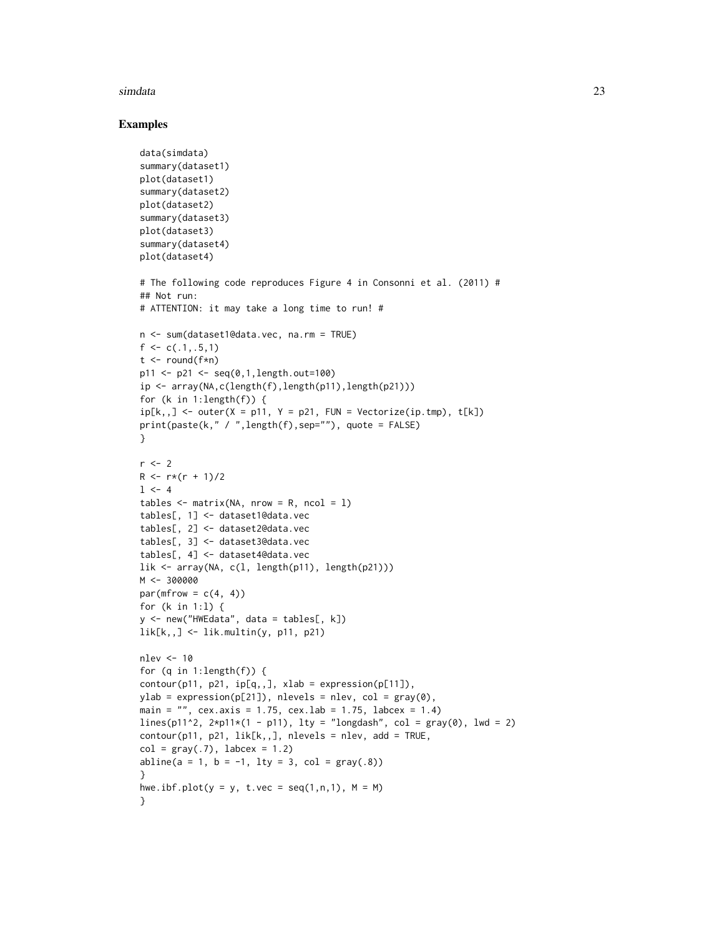#### simdata 23

```
data(simdata)
summary(dataset1)
plot(dataset1)
summary(dataset2)
plot(dataset2)
summary(dataset3)
plot(dataset3)
summary(dataset4)
plot(dataset4)
# The following code reproduces Figure 4 in Consonni et al. (2011) #
## Not run:
# ATTENTION: it may take a long time to run! #
n <- sum(dataset1@data.vec, na.rm = TRUE)
f \leftarrow c(.1,.5,1)t \le round(f * n)
p11 <- p21 <- seq(0,1,length.out=100)
ip <- array(NA,c(length(f),length(p11),length(p21)))
for (k in 1:length(f)) {
ip[k, ] \leftarrow outer(X = p11, Y = p21, FUN = Vectorize(ip.tmp), t[k])print(paste(k," / ",length(f),sep=""), quote = FALSE)
}
r \leq -2R \leq -r*(r + 1)/21 < -4tables \leq matrix(NA, nrow = R, ncol = 1)
tables[, 1] <- dataset1@data.vec
tables[, 2] <- dataset2@data.vec
tables[, 3] <- dataset3@data.vec
tables[, 4] <- dataset4@data.vec
lik <- array(NA, c(l, length(p11), length(p21)))
M <- 300000
par(mfrow = c(4, 4))for (k in 1:l) {
y <- new("HWEdata", data = tables[, k])
lik[k, ] \leftarrow lik.multin(y, p11, p21)nlev <- 10
for (q in 1:length(f)) {
contour(p11, p21, ip[q,], xlab = expression(p[11]),ylab = expression(p[21]), nlevels = nlev, col = gray(0),
main = ", cex.axis = 1.75, cex.lab = 1.75, labcex = 1.4)
lines(p11^2, 2*pi1*(1 - p11), 1ty = "longdash", col = gray(0), 1wd = 2)contour(p11, p21, lik[k,,], nlevels = nlev, add = TRUE,col = gray(.7), labcex = 1.2)
abline(a = 1, b = -1, lty = 3, col = gray(.8))
}
hwe.ibf.plot(y = y, t.vec = seq(1,n,1), M = M)
}
```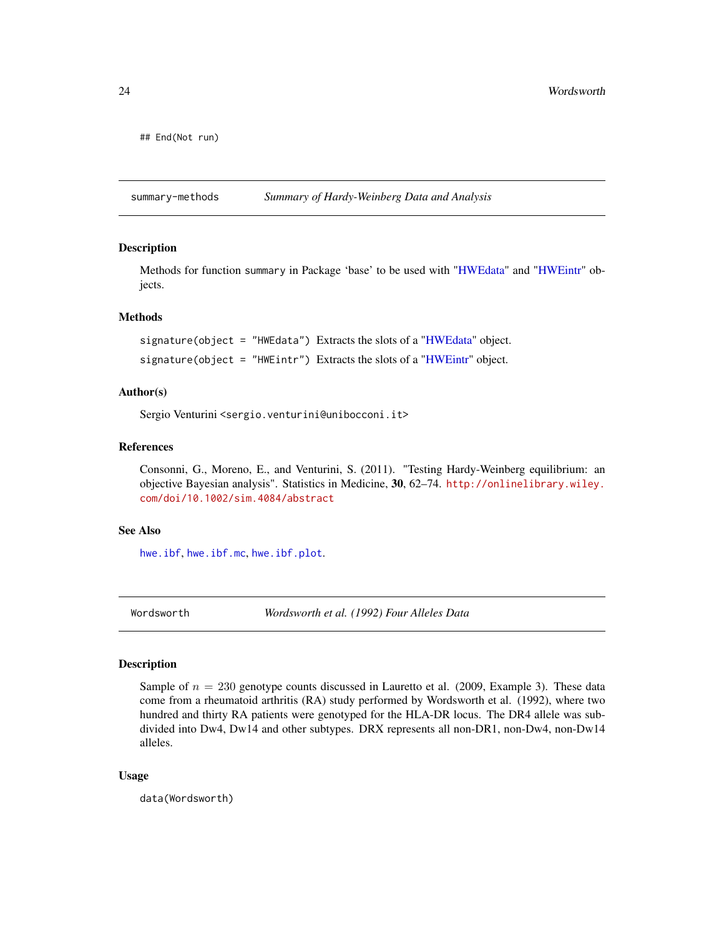```
## End(Not run)
```
summary-methods *Summary of Hardy-Weinberg Data and Analysis*

#### **Description**

Methods for function summary in Package 'base' to be used with ["HWEdata"](#page-12-1) and ["HWEintr"](#page-13-1) objects.

#### Methods

signature(object = "HWEdata") Extracts the slots of a ["HWEdata"](#page-12-1) object.

signature(object = ["HWEintr"](#page-13-1)) Extracts the slots of a "HWEintr" object.

#### Author(s)

Sergio Venturini <sergio.venturini@unibocconi.it>

## References

Consonni, G., Moreno, E., and Venturini, S. (2011). "Testing Hardy-Weinberg equilibrium: an objective Bayesian analysis". Statistics in Medicine, 30, 62–74. [http://onlinelibrary.wiley.](http://onlinelibrary.wiley.com/doi/10.1002/sim.4084/abstract) [com/doi/10.1002/sim.4084/abstract](http://onlinelibrary.wiley.com/doi/10.1002/sim.4084/abstract)

#### See Also

[hwe.ibf](#page-7-1), [hwe.ibf.mc](#page-9-1), [hwe.ibf.plot](#page-10-1).

Wordsworth *Wordsworth et al. (1992) Four Alleles Data*

#### **Description**

Sample of  $n = 230$  genotype counts discussed in Lauretto et al. (2009, Example 3). These data come from a rheumatoid arthritis (RA) study performed by Wordsworth et al. (1992), where two hundred and thirty RA patients were genotyped for the HLA-DR locus. The DR4 allele was subdivided into Dw4, Dw14 and other subtypes. DRX represents all non-DR1, non-Dw4, non-Dw14 alleles.

#### Usage

data(Wordsworth)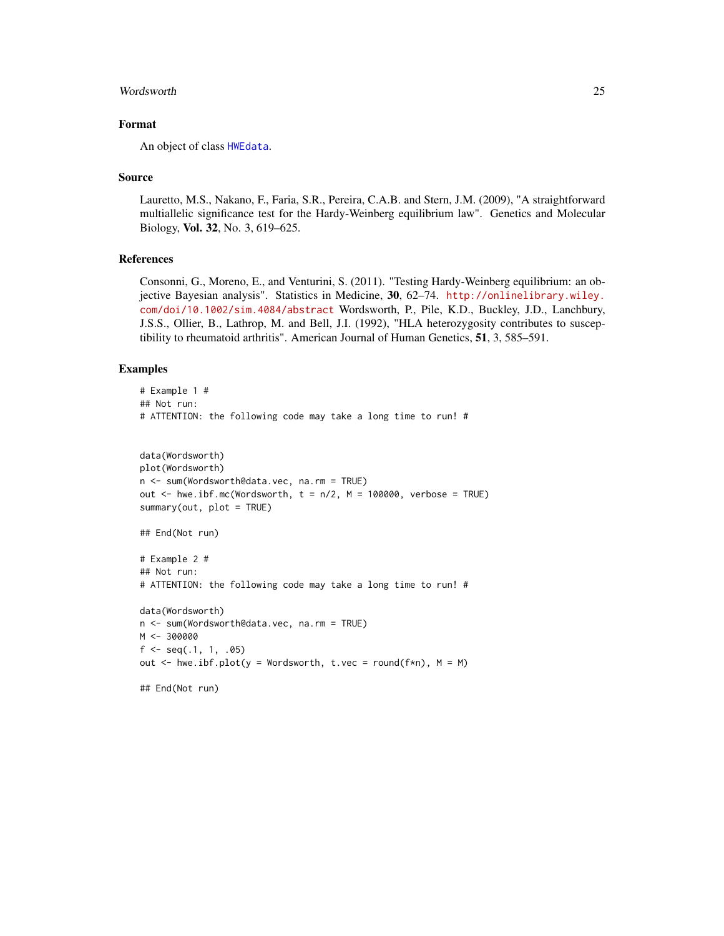#### <span id="page-24-0"></span>Wordsworth 25

## Format

An object of class [HWEdata](#page-12-1).

#### Source

Lauretto, M.S., Nakano, F., Faria, S.R., Pereira, C.A.B. and Stern, J.M. (2009), "A straightforward multiallelic significance test for the Hardy-Weinberg equilibrium law". Genetics and Molecular Biology, Vol. 32, No. 3, 619–625.

## References

Consonni, G., Moreno, E., and Venturini, S. (2011). "Testing Hardy-Weinberg equilibrium: an objective Bayesian analysis". Statistics in Medicine, 30, 62–74. [http://onlinelibrary.wiley.](http://onlinelibrary.wiley.com/doi/10.1002/sim.4084/abstract) [com/doi/10.1002/sim.4084/abstract](http://onlinelibrary.wiley.com/doi/10.1002/sim.4084/abstract) Wordsworth, P., Pile, K.D., Buckley, J.D., Lanchbury, J.S.S., Ollier, B., Lathrop, M. and Bell, J.I. (1992), "HLA heterozygosity contributes to susceptibility to rheumatoid arthritis". American Journal of Human Genetics, 51, 3, 585–591.

## Examples

```
# Example 1 #
## Not run:
# ATTENTION: the following code may take a long time to run! #
data(Wordsworth)
plot(Wordsworth)
n <- sum(Wordsworth@data.vec, na.rm = TRUE)
out \leq hwe.ibf.mc(Wordsworth, t = n/2, M = 100000, verbose = TRUE)
summary(out, plot = TRUE)
## End(Not run)
# Example 2 #
## Not run:
# ATTENTION: the following code may take a long time to run! #
data(Wordsworth)
n <- sum(Wordsworth@data.vec, na.rm = TRUE)
M < -300000f \leftarrow seq(.1, 1, .05)out \leq hwe.ibf.plot(y = Wordsworth, t.vec = round(f*n), M = M)
```
## End(Not run)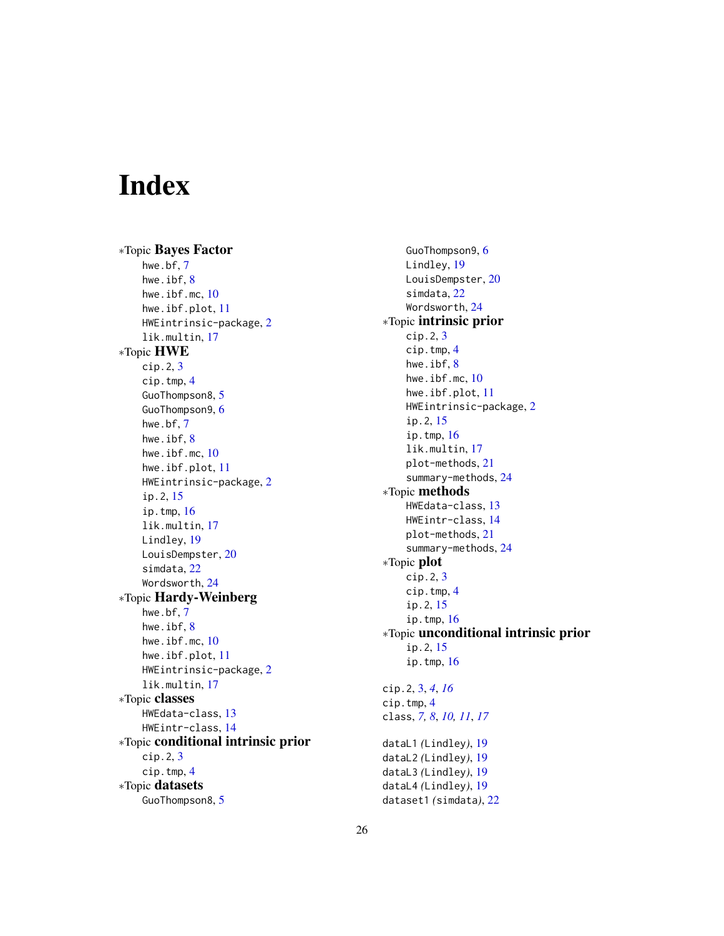# <span id="page-25-0"></span>Index

∗Topic Bayes Factor hwe.bf, [7](#page-6-0) hwe.ibf, [8](#page-7-0) hwe.ibf.mc, [10](#page-9-0) hwe.ibf.plot, [11](#page-10-0) HWEintrinsic-package, [2](#page-1-0) lik.multin, [17](#page-16-0) ∗Topic HWE cip.2, [3](#page-2-0) cip.tmp, [4](#page-3-0) GuoThompson8, [5](#page-4-0) GuoThompson9, [6](#page-5-0) hwe.bf, [7](#page-6-0) hwe.ibf, [8](#page-7-0) hwe.ibf.mc, [10](#page-9-0) hwe.ibf.plot, [11](#page-10-0) HWEintrinsic-package, [2](#page-1-0) ip.2, [15](#page-14-0) ip.tmp, [16](#page-15-0) lik.multin, [17](#page-16-0) Lindley, [19](#page-18-0) LouisDempster, [20](#page-19-0) simdata, [22](#page-21-0) Wordsworth, [24](#page-23-0) ∗Topic Hardy-Weinberg hwe.bf, [7](#page-6-0) hwe.ibf, [8](#page-7-0) hwe.ibf.mc, [10](#page-9-0) hwe.ibf.plot, [11](#page-10-0) HWEintrinsic-package, [2](#page-1-0) lik.multin, [17](#page-16-0) ∗Topic classes HWEdata-class, [13](#page-12-0) HWEintr-class, [14](#page-13-0) ∗Topic conditional intrinsic prior cip.2, [3](#page-2-0) cip.tmp, [4](#page-3-0) ∗Topic datasets GuoThompson8, [5](#page-4-0)

GuoThompson9, [6](#page-5-0) Lindley, [19](#page-18-0) LouisDempster, [20](#page-19-0) simdata, [22](#page-21-0) Wordsworth, [24](#page-23-0) ∗Topic intrinsic prior cip.2, [3](#page-2-0) cip.tmp, [4](#page-3-0) hwe.ibf, [8](#page-7-0) hwe.ibf.mc, [10](#page-9-0) hwe.ibf.plot, [11](#page-10-0) HWEintrinsic-package, [2](#page-1-0) ip.2, [15](#page-14-0) ip.tmp, [16](#page-15-0) lik.multin, [17](#page-16-0) plot-methods, [21](#page-20-0) summary-methods, [24](#page-23-0) ∗Topic methods HWEdata-class, [13](#page-12-0) HWEintr-class, [14](#page-13-0) plot-methods, [21](#page-20-0) summary-methods, [24](#page-23-0) ∗Topic plot cip.2, [3](#page-2-0) cip.tmp, [4](#page-3-0) ip.2, [15](#page-14-0) ip.tmp, [16](#page-15-0) ∗Topic unconditional intrinsic prior ip.2, [15](#page-14-0) ip.tmp, [16](#page-15-0) cip.2, [3,](#page-2-0) *[4](#page-3-0)*, *[16](#page-15-0)* cip.tmp, [4](#page-3-0) class, *[7,](#page-6-0) [8](#page-7-0)*, *[10,](#page-9-0) [11](#page-10-0)*, *[17](#page-16-0)* dataL1 *(*Lindley*)*, [19](#page-18-0) dataL2 *(*Lindley*)*, [19](#page-18-0) dataL3 *(*Lindley*)*, [19](#page-18-0) dataL4 *(*Lindley*)*, [19](#page-18-0)

dataset1 *(*simdata*)*, [22](#page-21-0)